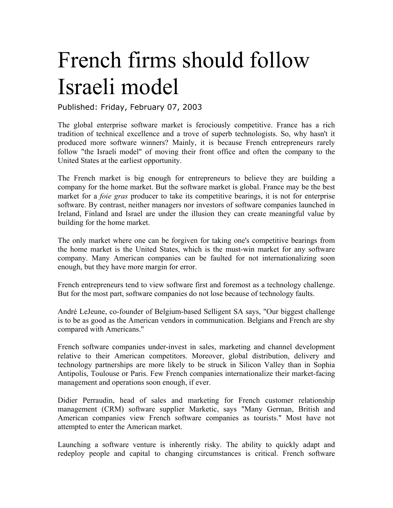## French firms should follow Israeli model

Published: Friday, February 07, 2003

The global enterprise software market is ferociously competitive. France has a rich tradition of technical excellence and a trove of superb technologists. So, why hasn't it produced more software winners? Mainly, it is because French entrepreneurs rarely follow "the Israeli model" of moving their front office and often the company to the United States at the earliest opportunity.

The French market is big enough for entrepreneurs to believe they are building a company for the home market. But the software market is global. France may be the best market for a *foie gras* producer to take its competitive bearings, it is not for enterprise software. By contrast, neither managers nor investors of software companies launched in Ireland, Finland and Israel are under the illusion they can create meaningful value by building for the home market.

The only market where one can be forgiven for taking one's competitive bearings from the home market is the United States, which is the must-win market for any software company. Many American companies can be faulted for not internationalizing soon enough, but they have more margin for error.

French entrepreneurs tend to view software first and foremost as a technology challenge. But for the most part, software companies do not lose because of technology faults.

André LeJeune, co-founder of Belgium-based Selligent SA says, "Our biggest challenge is to be as good as the American vendors in communication. Belgians and French are shy compared with Americans."

French software companies under-invest in sales, marketing and channel development relative to their American competitors. Moreover, global distribution, delivery and technology partnerships are more likely to be struck in Silicon Valley than in Sophia Antipolis, Toulouse or Paris. Few French companies internationalize their market-facing management and operations soon enough, if ever.

Didier Perraudin, head of sales and marketing for French customer relationship management (CRM) software supplier Marketic, says "Many German, British and American companies view French software companies as tourists." Most have not attempted to enter the American market.

Launching a software venture is inherently risky. The ability to quickly adapt and redeploy people and capital to changing circumstances is critical. French software